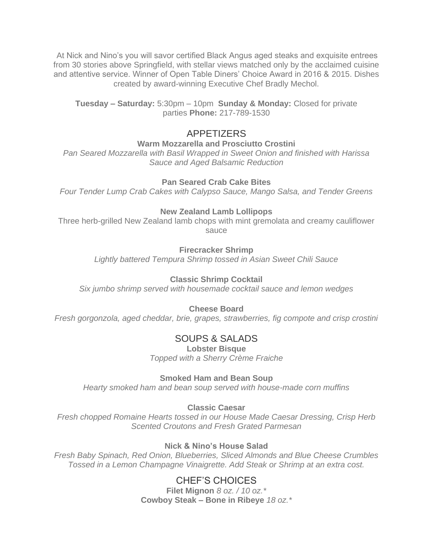At Nick and Nino's you will savor certified Black Angus aged steaks and exquisite entrees from 30 stories above Springfield, with stellar views matched only by the acclaimed cuisine and attentive service. Winner of Open Table Diners' Choice Award in 2016 & 2015. Dishes created by award-winning Executive Chef Bradly Mechol.

**Tuesday – Saturday:** 5:30pm – 10pm **Sunday & Monday:** Closed for private parties **Phone:** 217-789-1530

## APPETIZERS

**Warm Mozzarella and Prosciutto Crostini**

*Pan Seared Mozzarella with Basil Wrapped in Sweet Onion and finished with Harissa Sauce and Aged Balsamic Reduction*

### **Pan Seared Crab Cake Bites**

*Four Tender Lump Crab Cakes with Calypso Sauce, Mango Salsa, and Tender Greens*

### **New Zealand Lamb Lollipops**

Three herb-grilled New Zealand lamb chops with mint gremolata and creamy cauliflower sauce

#### **Firecracker Shrimp**

*Lightly battered Tempura Shrimp tossed in Asian Sweet Chili Sauce*

### **Classic Shrimp Cocktail**

*Six jumbo shrimp served with housemade cocktail sauce and lemon wedges*

#### **Cheese Board**

*Fresh gorgonzola, aged cheddar, brie, grapes, strawberries, fig compote and crisp crostini*

## SOUPS & SALADS

**Lobster Bisque** *Topped with a Sherry Crème Fraiche*

#### **Smoked Ham and Bean Soup**

*Hearty smoked ham and bean soup served with house-made corn muffins*

#### **Classic Caesar**

*Fresh chopped Romaine Hearts tossed in our House Made Caesar Dressing, Crisp Herb Scented Croutons and Fresh Grated Parmesan*

### **Nick & Nino's House Salad**

*Fresh Baby Spinach, Red Onion, Blueberries, Sliced Almonds and Blue Cheese Crumbles Tossed in a Lemon Champagne Vinaigrette. Add Steak or Shrimp at an extra cost.*

## CHEF'S CHOICES

**Filet Mignon** *8 oz. / 10 oz.\** **Cowboy Steak – Bone in Ribeye** *18 oz.\**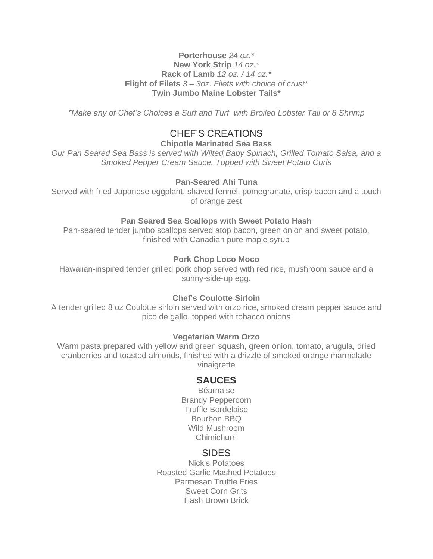#### **Porterhouse** *24 oz.\** **New York Strip** *14 oz.\** **Rack of Lamb** *12 oz. / 14 oz.\** **Flight of Filets** *3 – 3oz. Filets with choice of crust\** **Twin Jumbo Maine Lobster Tails\***

*\*Make any of Chef's Choices a Surf and Turf with Broiled Lobster Tail or 8 Shrimp*

## CHEF'S CREATIONS

**Chipotle Marinated Sea Bass**

*Our Pan Seared Sea Bass is served with Wilted Baby Spinach, Grilled Tomato Salsa, and a Smoked Pepper Cream Sauce. Topped with Sweet Potato Curls*

#### **Pan-Seared Ahi Tuna**

Served with fried Japanese eggplant, shaved fennel, pomegranate, crisp bacon and a touch of orange zest

#### **Pan Seared Sea Scallops with Sweet Potato Hash**

Pan-seared tender jumbo scallops served atop bacon, green onion and sweet potato, finished with Canadian pure maple syrup

#### **Pork Chop Loco Moco**

Hawaiian-inspired tender grilled pork chop served with red rice, mushroom sauce and a sunny-side-up egg.

#### **Chef's Coulotte Sirloin**

A tender grilled 8 oz Coulotte sirloin served with orzo rice, smoked cream pepper sauce and pico de gallo, topped with tobacco onions

#### **Vegetarian Warm Orzo**

Warm pasta prepared with yellow and green squash, green onion, tomato, arugula, dried cranberries and toasted almonds, finished with a drizzle of smoked orange marmalade vinaigrette

#### **SAUCES**

Béarnaise Brandy Peppercorn Truffle Bordelaise Bourbon BBQ Wild Mushroom Chimichurri

#### SIDES

Nick's Potatoes Roasted Garlic Mashed Potatoes Parmesan Truffle Fries Sweet Corn Grits Hash Brown Brick